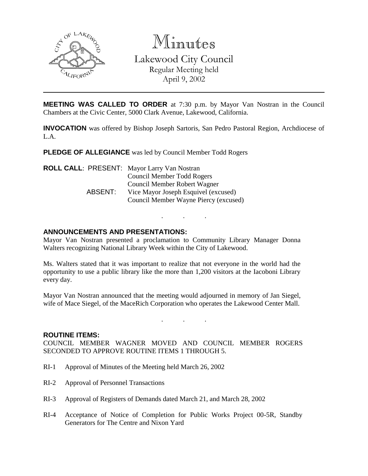

Minutes Lakewood City Council Regular Meeting held April 9, 2002

**MEETING WAS CALLED TO ORDER** at 7:30 p.m. by Mayor Van Nostran in the Council Chambers at the Civic Center, 5000 Clark Avenue, Lakewood, California.

**INVOCATION** was offered by Bishop Joseph Sartoris, San Pedro Pastoral Region, Archdiocese of L.A.

**PLEDGE OF ALLEGIANCE** was led by Council Member Todd Rogers

|         | <b>ROLL CALL: PRESENT: Mayor Larry Van Nostran</b> |
|---------|----------------------------------------------------|
|         | Council Member Todd Rogers                         |
|         | Council Member Robert Wagner                       |
| ABSENT: | Vice Mayor Joseph Esquivel (excused)               |
|         | Council Member Wayne Piercy (excused)              |

## **ANNOUNCEMENTS AND PRESENTATIONS:**

Mayor Van Nostran presented a proclamation to Community Library Manager Donna Walters recognizing National Library Week within the City of Lakewood.

. . .

Ms. Walters stated that it was important to realize that not everyone in the world had the opportunity to use a public library like the more than 1,200 visitors at the Iacoboni Library every day.

Mayor Van Nostran announced that the meeting would adjourned in memory of Jan Siegel, wife of Mace Siegel, of the MaceRich Corporation who operates the Lakewood Center Mall.

. . .

### **ROUTINE ITEMS:**

COUNCIL MEMBER WAGNER MOVED AND COUNCIL MEMBER ROGERS SECONDED TO APPROVE ROUTINE ITEMS 1 THROUGH 5.

- RI-1 Approval of Minutes of the Meeting held March 26, 2002
- RI-2 Approval of Personnel Transactions
- RI-3 Approval of Registers of Demands dated March 21, and March 28, 2002
- RI-4 Acceptance of Notice of Completion for Public Works Project 00-5R, Standby Generators for The Centre and Nixon Yard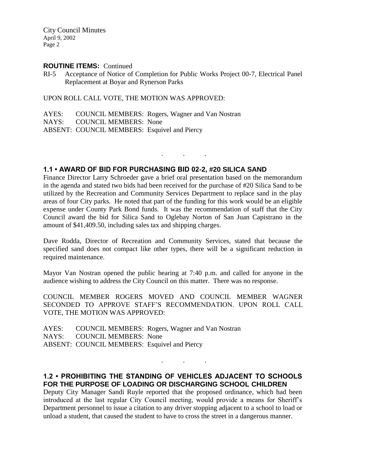City Council Minutes April 9, 2002 Page 2

#### **ROUTINE ITEMS:** Continued

RI-5 Acceptance of Notice of Completion for Public Works Project 00-7, Electrical Panel Replacement at Boyar and Rynerson Parks

UPON ROLL CALL VOTE, THE MOTION WAS APPROVED:

AYES: COUNCIL MEMBERS: Rogers, Wagner and Van Nostran NAYS: COUNCIL MEMBERS: None ABSENT: COUNCIL MEMBERS: Esquivel and Piercy

## **1.1 • AWARD OF BID FOR PURCHASING BID 02-2, #20 SILICA SAND**

Finance Director Larry Schroeder gave a brief oral presentation based on the memorandum in the agenda and stated two bids had been received for the purchase of #20 Silica Sand to be utilized by the Recreation and Community Services Department to replace sand in the play areas of four City parks. He noted that part of the funding for this work would be an eligible expense under County Park Bond funds. It was the recommendation of staff that the City Council award the bid for Silica Sand to Oglebay Norton of San Juan Capistrano in the amount of \$41,409.50, including sales tax and shipping charges.

. . .

Dave Rodda, Director of Recreation and Community Services, stated that because the specified sand does not compact like other types, there will be a significant reduction in required maintenance.

Mayor Van Nostran opened the public hearing at 7:40 p.m. and called for anyone in the audience wishing to address the City Council on this matter. There was no response.

COUNCIL MEMBER ROGERS MOVED AND COUNCIL MEMBER WAGNER SECONDED TO APPROVE STAFF'S RECOMMENDATION. UPON ROLL CALL VOTE, THE MOTION WAS APPROVED:

AYES: COUNCIL MEMBERS: Rogers, Wagner and Van Nostran NAYS: COUNCIL MEMBERS: None ABSENT: COUNCIL MEMBERS: Esquivel and Piercy

## **1.2 • PROHIBITING THE STANDING OF VEHICLES ADJACENT TO SCHOOLS FOR THE PURPOSE OF LOADING OR DISCHARGING SCHOOL CHILDREN**

. . .

Deputy City Manager Sandi Ruyle reported that the proposed ordinance, which had been introduced at the last regular City Council meeting, would provide a means for Sheriff's Department personnel to issue a citation to any driver stopping adjacent to a school to load or unload a student, that caused the student to have to cross the street in a dangerous manner.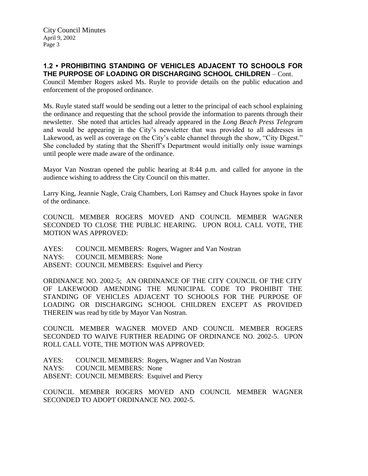## **1.2 • PROHIBITING STANDING OF VEHICLES ADJACENT TO SCHOOLS FOR THE PURPOSE OF LOADING OR DISCHARGING SCHOOL CHILDREN** – Cont.

Council Member Rogers asked Ms. Ruyle to provide details on the public education and enforcement of the proposed ordinance.

Ms. Ruyle stated staff would be sending out a letter to the principal of each school explaining the ordinance and requesting that the school provide the information to parents through their newsletter. She noted that articles had already appeared in the *Long Beach Press Telegram* and would be appearing in the City's newsletter that was provided to all addresses in Lakewood, as well as coverage on the City's cable channel through the show, "City Digest." She concluded by stating that the Sheriff's Department would initially only issue warnings until people were made aware of the ordinance.

Mayor Van Nostran opened the public hearing at 8:44 p.m. and called for anyone in the audience wishing to address the City Council on this matter.

Larry King, Jeannie Nagle, Craig Chambers, Lori Ramsey and Chuck Haynes spoke in favor of the ordinance.

COUNCIL MEMBER ROGERS MOVED AND COUNCIL MEMBER WAGNER SECONDED TO CLOSE THE PUBLIC HEARING. UPON ROLL CALL VOTE, THE MOTION WAS APPROVED:

AYES: COUNCIL MEMBERS: Rogers, Wagner and Van Nostran NAYS: COUNCIL MEMBERS: None ABSENT: COUNCIL MEMBERS: Esquivel and Piercy

ORDINANCE NO. 2002-5; AN ORDINANCE OF THE CITY COUNCIL OF THE CITY OF LAKEWOOD AMENDING THE MUNICIPAL CODE TO PROHIBIT THE STANDING OF VEHICLES ADJACENT TO SCHOOLS FOR THE PURPOSE OF LOADING OR DISCHARGING SCHOOL CHILDREN EXCEPT AS PROVIDED THEREIN was read by title by Mayor Van Nostran.

COUNCIL MEMBER WAGNER MOVED AND COUNCIL MEMBER ROGERS SECONDED TO WAIVE FURTHER READING OF ORDINANCE NO. 2002-5. UPON ROLL CALL VOTE, THE MOTION WAS APPROVED:

AYES: COUNCIL MEMBERS: Rogers, Wagner and Van Nostran NAYS: COUNCIL MEMBERS: None ABSENT: COUNCIL MEMBERS: Esquivel and Piercy

COUNCIL MEMBER ROGERS MOVED AND COUNCIL MEMBER WAGNER SECONDED TO ADOPT ORDINANCE NO. 2002-5.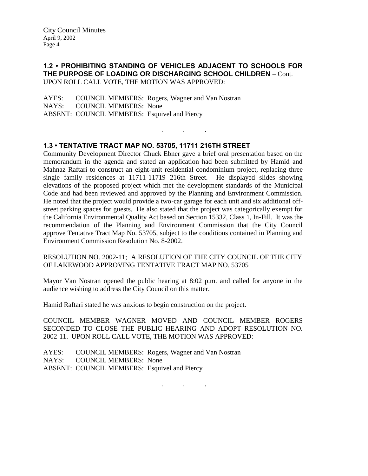## **1.2 • PROHIBITING STANDING OF VEHICLES ADJACENT TO SCHOOLS FOR THE PURPOSE OF LOADING OR DISCHARGING SCHOOL CHILDREN** – Cont. UPON ROLL CALL VOTE, THE MOTION WAS APPROVED:

. . .

AYES: COUNCIL MEMBERS: Rogers, Wagner and Van Nostran NAYS: COUNCIL MEMBERS: None ABSENT: COUNCIL MEMBERS: Esquivel and Piercy

# **1.3 • TENTATIVE TRACT MAP NO. 53705, 11711 216TH STREET**

Community Development Director Chuck Ebner gave a brief oral presentation based on the memorandum in the agenda and stated an application had been submitted by Hamid and Mahnaz Raftari to construct an eight-unit residential condominium project, replacing three single family residences at 11711-11719 216th Street. He displayed slides showing elevations of the proposed project which met the development standards of the Municipal Code and had been reviewed and approved by the Planning and Environment Commission. He noted that the project would provide a two-car garage for each unit and six additional offstreet parking spaces for guests. He also stated that the project was categorically exempt for the California Environmental Quality Act based on Section 15332, Class 1, In-Fill. It was the recommendation of the Planning and Environment Commission that the City Council approve Tentative Tract Map No. 53705, subject to the conditions contained in Planning and Environment Commission Resolution No. 8-2002.

RESOLUTION NO. 2002-11; A RESOLUTION OF THE CITY COUNCIL OF THE CITY OF LAKEWOOD APPROVING TENTATIVE TRACT MAP NO. 53705

Mayor Van Nostran opened the public hearing at 8:02 p.m. and called for anyone in the audience wishing to address the City Council on this matter.

Hamid Raftari stated he was anxious to begin construction on the project.

COUNCIL MEMBER WAGNER MOVED AND COUNCIL MEMBER ROGERS SECONDED TO CLOSE THE PUBLIC HEARING AND ADOPT RESOLUTION NO. 2002-11. UPON ROLL CALL VOTE, THE MOTION WAS APPROVED:

AYES: COUNCIL MEMBERS: Rogers, Wagner and Van Nostran NAYS: COUNCIL MEMBERS: None ABSENT: COUNCIL MEMBERS: Esquivel and Piercy

. . .